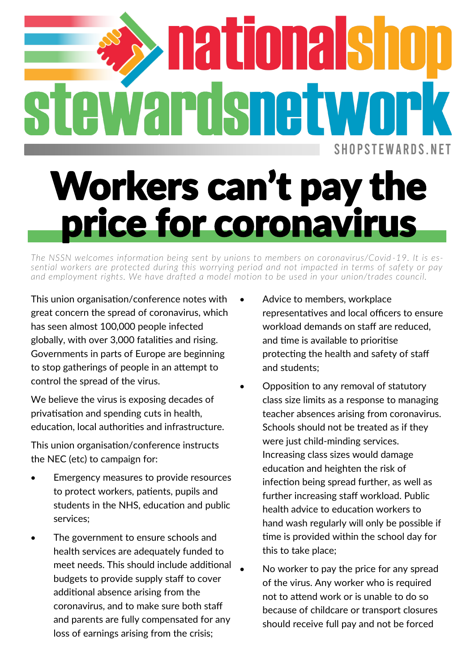## **SHOPSTEWARDS NET**

## Workers can't pay th ice for coronavir

*The NSSN welcomes information being sent by unions to members on coronavirus/Covid -19. It is essential workers are protected during this worrying period and not impacted in terms of safety or pay and employment rights. We have drafted a model motion to be used in your union/trades council.*

This union organisation/conference notes with great concern the spread of coronavirus, which has seen almost 100,000 people infected globally, with over 3,000 fatalities and rising. Governments in parts of Europe are beginning to stop gatherings of people in an attempt to control the spread of the virus.

We believe the virus is exposing decades of privatisation and spending cuts in health, education, local authorities and infrastructure.

This union organisation/conference instructs the NEC (etc) to campaign for:

- Emergency measures to provide resources to protect workers, patients, pupils and students in the NHS, education and public services;
- The government to ensure schools and health services are adequately funded to meet needs. This should include additional budgets to provide supply staff to cover additional absence arising from the coronavirus, and to make sure both staff and parents are fully compensated for any loss of earnings arising from the crisis;
- Advice to members, workplace representatives and local officers to ensure workload demands on staff are reduced, and time is available to prioritise protecting the health and safety of staff and students;
- Opposition to any removal of statutory class size limits as a response to managing teacher absences arising from coronavirus. Schools should not be treated as if they were just child-minding services. Increasing class sizes would damage education and heighten the risk of infection being spread further, as well as further increasing staff workload. Public health advice to education workers to hand wash regularly will only be possible if time is provided within the school day for this to take place;
- No worker to pay the price for any spread of the virus. Any worker who is required not to attend work or is unable to do so because of childcare or transport closures should receive full pay and not be forced